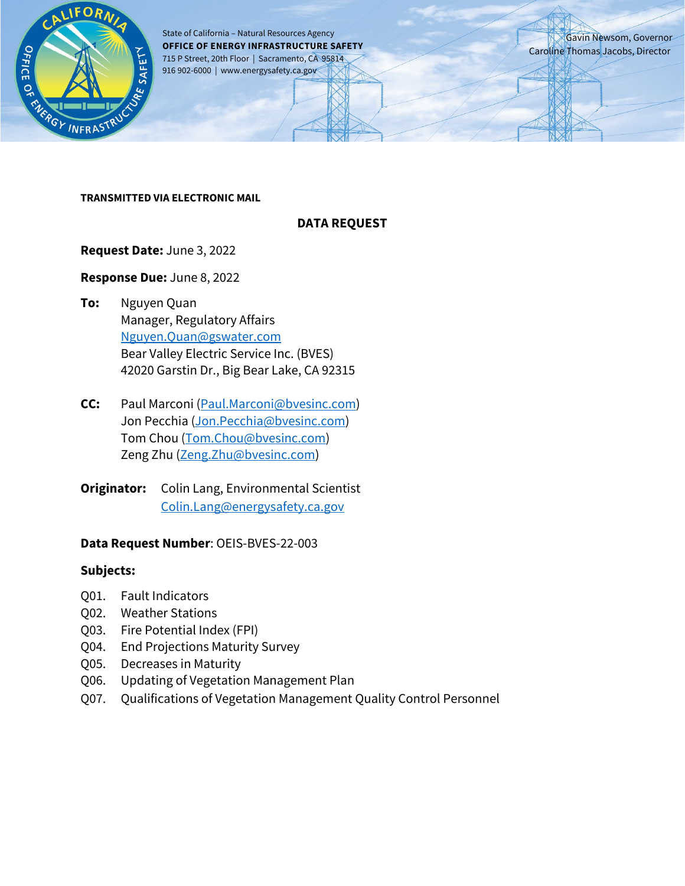

State of California – Natural Resources Agency **OFFICE OF ENERGY INFRASTRUCTURE SAFETY** 715 P Street, 20th Floor | Sacramento, CA 95814 916 902-6000 | www.energysafety.ca.gov

Gavin Newsom, Governor Caroline Thomas Jacobs, Director

#### **TRANSMITTED VIA ELECTRONIC MAIL**

#### **DATA REQUEST**

#### **Request Date:** June 3, 2022

#### **Response Due:** June 8, 2022

- **To:** Nguyen Quan Manager, Regulatory Affairs [Nguyen.Quan@gswater.com](mailto:Nguyen.Quan@gswater.com) Bear Valley Electric Service Inc. (BVES) 42020 Garstin Dr., Big Bear Lake, CA 92315
- **CC:** Paul Marconi [\(Paul.Marconi@bvesinc.com\)](mailto:Paul.Marconi@bvesinc.com) Jon Pecchia [\(Jon.Pecchia@bvesinc.com\)](mailto:Jon.Pecchia@bvesinc.com) Tom Chou [\(Tom.Chou@bvesinc.com\)](mailto:Tom.Chou@bvesinc.com) Zeng Zhu [\(Zeng.Zhu@bvesinc.com\)](mailto:Zeng.Zhu@bvesinc.com)
- **Originator:** Colin Lang, Environmental Scientist [Colin.Lang@energysafety.ca.gov](mailto:Colin.Lang@energysafety.ca.gov)

#### **Data Request Number**: OEIS-BVES-22-003

#### **Subjects:**

- Q01. Fault Indicators
- Q02. Weather Stations
- Q03. Fire Potential Index (FPI)
- Q04. End Projections Maturity Survey
- Q05. Decreases in Maturity
- Q06. Updating of Vegetation Management Plan
- Q07. Qualifications of Vegetation Management Quality Control Personnel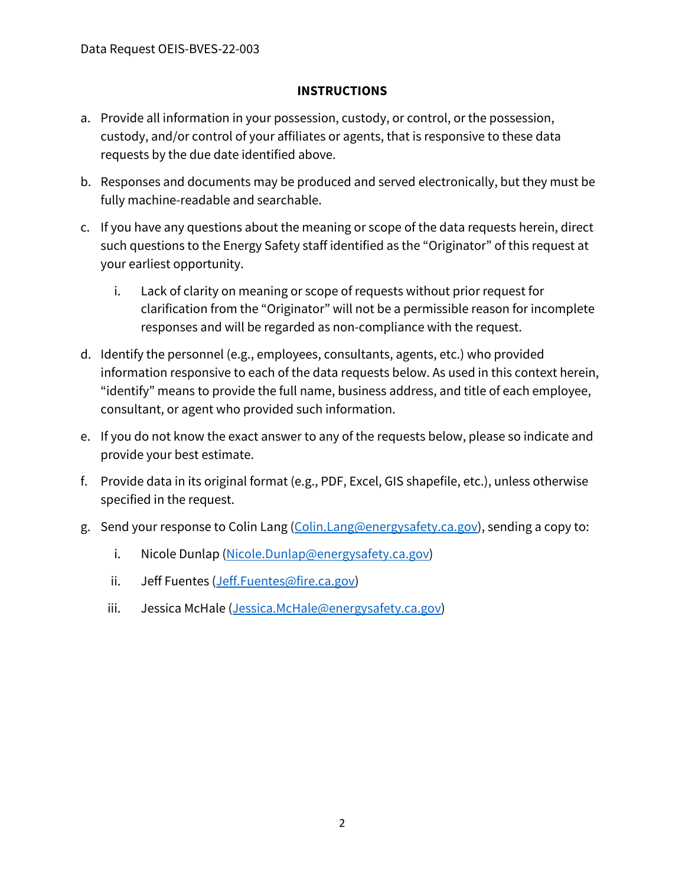### **INSTRUCTIONS**

- a. Provide all information in your possession, custody, or control, or the possession, custody, and/or control of your affiliates or agents, that is responsive to these data requests by the due date identified above.
- b. Responses and documents may be produced and served electronically, but they must be fully machine-readable and searchable.
- c. If you have any questions about the meaning or scope of the data requests herein, direct such questions to the Energy Safety staff identified as the "Originator" of this request at your earliest opportunity.
	- i. Lack of clarity on meaning or scope of requests without prior request for clarification from the "Originator" will not be a permissible reason for incomplete responses and will be regarded as non-compliance with the request.
- d. Identify the personnel (e.g., employees, consultants, agents, etc.) who provided information responsive to each of the data requests below. As used in this context herein, "identify" means to provide the full name, business address, and title of each employee, consultant, or agent who provided such information.
- e. If you do not know the exact answer to any of the requests below, please so indicate and provide your best estimate.
- f. Provide data in its original format (e.g., PDF, Excel, GIS shapefile, etc.), unless otherwise specified in the request.
- g. Send your response to Colin Lang [\(Colin.Lang@energysafety.ca.gov\)](mailto:Colin.Lang@energysafety.ca.gov), sending a copy to:
	- i. Nicole Dunlap [\(Nicole.Dunlap@energysafety.ca.gov\)](mailto:nicole.dunlap@energysafety.ca.gov)
	- ii. Jeff Fuentes [\(Jeff.Fuentes@fire.ca.gov\)](mailto:Jeff.Fuentes@fire.ca.gov)
	- iii. Jessica McHale [\(Jessica.McHale@energysafety.ca.gov\)](mailto:Jessica.McHale@energysafety.ca.gov)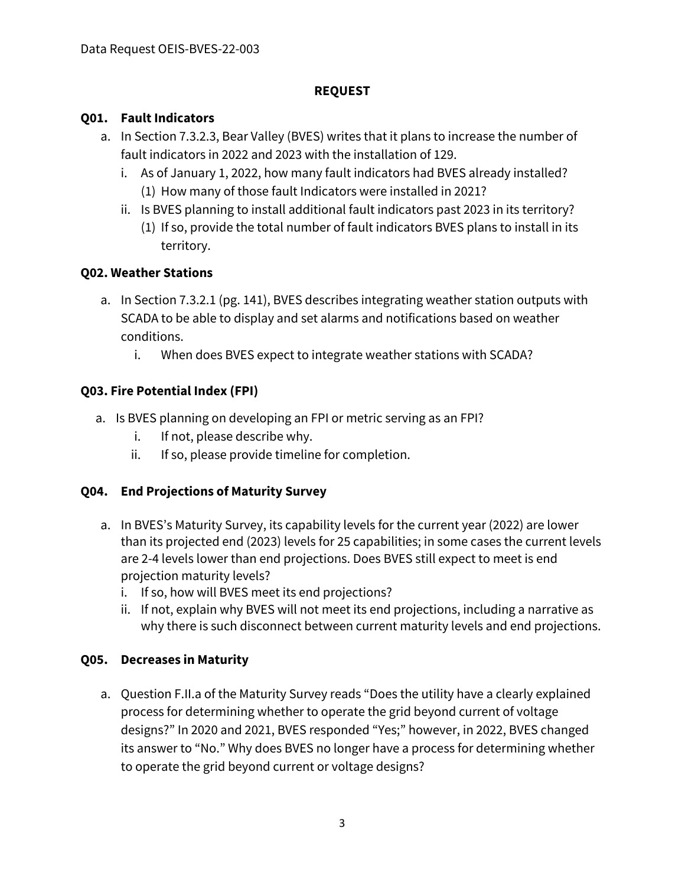### **REQUEST**

### **Q01. Fault Indicators**

- a. In Section 7.3.2.3, Bear Valley (BVES) writes that it plans to increase the number of fault indicators in 2022 and 2023 with the installation of 129.
	- i. As of January 1, 2022, how many fault indicators had BVES already installed? (1) How many of those fault Indicators were installed in 2021?
	- ii. Is BVES planning to install additional fault indicators past 2023 in its territory? (1) If so, provide the total number of fault indicators BVES plans to install in its territory.

# **Q02. Weather Stations**

- a. In Section 7.3.2.1 (pg. 141), BVES describes integrating weather station outputs with SCADA to be able to display and set alarms and notifications based on weather conditions.
	- i. When does BVES expect to integrate weather stations with SCADA?

# **Q03. Fire Potential Index (FPI)**

- a. Is BVES planning on developing an FPI or metric serving as an FPI?
	- i. If not, please describe why.
	- ii. If so, please provide timeline for completion.

# **Q04. End Projections of Maturity Survey**

- a. In BVES's Maturity Survey, its capability levels for the current year (2022) are lower than its projected end (2023) levels for 25 capabilities; in some cases the current levels are 2-4 levels lower than end projections. Does BVES still expect to meet is end projection maturity levels?
	- i. If so, how will BVES meet its end projections?
	- ii. If not, explain why BVES will not meet its end projections, including a narrative as why there is such disconnect between current maturity levels and end projections.

#### **Q05. Decreases in Maturity**

a. Question F.II.a of the Maturity Survey reads "Does the utility have a clearly explained process for determining whether to operate the grid beyond current of voltage designs?" In 2020 and 2021, BVES responded "Yes;" however, in 2022, BVES changed its answer to "No." Why does BVES no longer have a process for determining whether to operate the grid beyond current or voltage designs?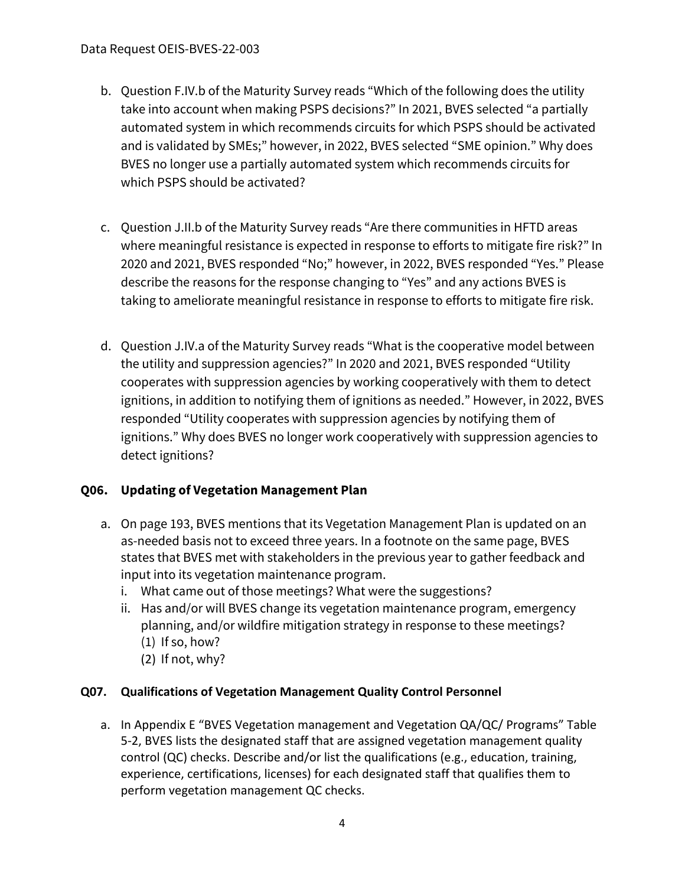- b. Question F.IV.b of the Maturity Survey reads "Which of the following does the utility take into account when making PSPS decisions?" In 2021, BVES selected "a partially automated system in which recommends circuits for which PSPS should be activated and is validated by SMEs;" however, in 2022, BVES selected "SME opinion." Why does BVES no longer use a partially automated system which recommends circuits for which PSPS should be activated?
- c. Question J.II.b of the Maturity Survey reads "Are there communities in HFTD areas where meaningful resistance is expected in response to efforts to mitigate fire risk?" In 2020 and 2021, BVES responded "No;" however, in 2022, BVES responded "Yes." Please describe the reasons for the response changing to "Yes" and any actions BVES is taking to ameliorate meaningful resistance in response to efforts to mitigate fire risk.
- d. Question J.IV.a of the Maturity Survey reads "What is the cooperative model between the utility and suppression agencies?" In 2020 and 2021, BVES responded "Utility cooperates with suppression agencies by working cooperatively with them to detect ignitions, in addition to notifying them of ignitions as needed." However, in 2022, BVES responded "Utility cooperates with suppression agencies by notifying them of ignitions." Why does BVES no longer work cooperatively with suppression agencies to detect ignitions?

# **Q06. Updating of Vegetation Management Plan**

- a. On page 193, BVES mentions that its Vegetation Management Plan is updated on an as-needed basis not to exceed three years. In a footnote on the same page, BVES states that BVES met with stakeholders in the previous year to gather feedback and input into its vegetation maintenance program.
	- i. What came out of those meetings? What were the suggestions?
	- ii. Has and/or will BVES change its vegetation maintenance program, emergency planning, and/or wildfire mitigation strategy in response to these meetings?  $(1)$  If so, how?
		- (2) If not, why?

# **Q07. Qualifications of Vegetation Management Quality Control Personnel**

a. In Appendix E "BVES Vegetation management and Vegetation QA/QC/ Programs" Table 5-2, BVES lists the designated staff that are assigned vegetation management quality control (QC) checks. Describe and/or list the qualifications (e.g., education, training, experience, certifications, licenses) for each designated staff that qualifies them to perform vegetation management QC checks.